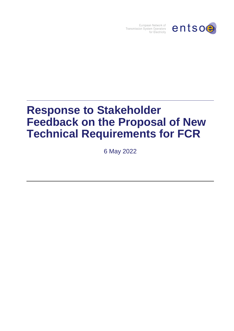

European Network of Transmission System Operators for Electricity

# **Response to Stakeholder Feedback on the Proposal of New Technical Requirements for FCR**

6 May 2022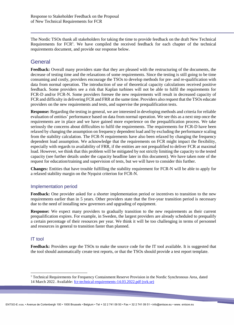The Nordic TSOs thank all stakeholders for taking the time to provide feedback on the draft New Technical Requirements for  $FCR<sup>1</sup>$ . We have compiled the received feedback for each chapter of the technical requirements document, and provide our response below.

# **General**

**Feedback:** Overall many providers state that they are pleased with the restructuring of the documents, the decrease of testing time and the relaxations of some requirements. Since the testing is still going to be time consuming and costly, providers encourage the TSOs to develop methods for pre- and re-qualification with data from normal operation. The introduction of use of theoretical capacity calculations received positive feedback. Some providers see a risk that Kaplan turbines will not be able to fulfil the requirements for FCR-D and/or FCR-N. Some providers foresee the new requirements will result in decreased capacity of FCR and difficulty in delivering FCR and FRR at the same time. Providers also request that the TSOs educate providers on the new requirements and tests, and supervise the prequalification tests.

**Response:** Regarding the testing in general, we are interested in developing methods and criteria for reliable evaluation of entities' performance based on data from normal operation. We see this as a next step once the requirements are in place and we have gained more experience on the prequalification process. We take seriously the concerns about difficulties to fulfil the requirements. The requirements for FCR-D have been relaxed by changing the assumption on frequency dependent load and by excluding the performance scaling from the stability calculation. The FCR-N requirements have also been relaxed by changing the frequency dependent load assumption. We acknowledge that the requirements on FCR might impact the flexibility, especially with regards to availability of FRR, if the entities are not prequalified to deliver FCR at maximal load. However, we think that this problem will be mitigated by not strictly limiting the capacity to the tested capacity (see further details under the capacity headline later in this document). We have taken note of the request for education/training and supervision of tests, but we will have to consider this further.

**Changes:** Entities that have trouble fulfilling the stability requirement for FCR-N will be able to apply for a relaxed stability margin on the Nyquist criterion for FCR-N.

#### Implementation period

**Feedback:** One provider asked for a shorter implementation period or incentives to transition to the new requirements earlier than in 5 years. Other providers state that the five-year transition period is necessary due to the need of installing new governors and upgrading of equipment.

**Response:** We expect many providers to gradually transition to the new requirements as their current prequalification expires. For example, in Sweden, the largest providers are already scheduled to prequalify a certain percentage of their resources per year. We think it will be too challenging in terms of personnel and resources in general to transition faster than planned.

#### IT tool

1

**Feedback:** Providers urge the TSOs to make the source code for the IT tool available. It is suggested that the tool should automatically create test reports, or that the TSOs should provide a test report template.

<sup>&</sup>lt;sup>1</sup> Technical Requirements for Frequency Containment Reserve Provision in the Nordic Synchronous Area, dated 14 March 2022. Available: [fcr-technical-requirements-14.03.2022.pdf \(svk.se\)](https://www.svk.se/contentassets/4f9ae6d3a8e449c291c9ddda105c7c72/fcr-technical-requirements-14.03.2022.pdf)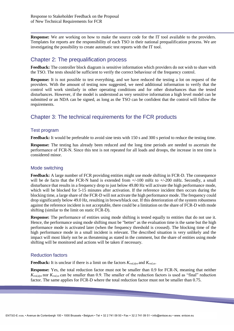**Response:** We are working on how to make the source code for the IT tool available to the providers. Templates for reports are the responsibility of each TSO in their national prequalification process. We are investigating the possibility to create automatic test reports with the IT tool.

# Chapter 2: The prequalification process

**Feedback:** The controller block diagram is sensitive information which providers do not wish to share with the TSO. The tests should be sufficient to verify the correct behaviour of the frequency control.

**Response:** It is not possible to test everything, and we have reduced the testing a lot on request of the providers. With the amount of testing now suggested, we need additional information to verify that the control will work similarly in other operating conditions and for other disturbances than the tested disturbances. However, if the model is understood as very sensitive information a high level model can be submitted or an NDA can be signed, as long as the TSO can be confident that the control will follow the requirements.

# Chapter 3: The technical requirements for the FCR products

#### Test program

**Feedback:** It would be preferable to avoid sine tests with 150 s and 300 s period to reduce the testing time.

**Response:** The testing has already been reduced and the long time periods are needed to ascertain the performance of FCR-N. Since this test is not repeated for all loads and droops, the increase in test time is considered minor.

#### Mode switching

**Feedback:** A large number of FCR providing entities might use mode shifting in FCR-D. The consequence will be de facto that the FCR-N band is extended from  $+/-100$  mHz to  $+/-200$  mHz. Secondly, a small disturbance that results in a frequency drop to just below 49.80 Hz will activate the high performance mode, which will be blocked for 5-15 minutes after activation. If the reference incident then occurs during the blocking time, a large share of the FCR-D will not activate the high performance mode. The frequency could drop significantly below 49.0 Hz, resulting in brown/black out. If this deterioration of the system robustness against the reference incident is not acceptable, there could be a limitation on the share of FCR-D with mode shifting (similar to the limit on static FCR-D).

**Response:** The performance of entities using mode shifting is tested equally to entities that do not use it. Hence, the performance using mode shifting must be "better" as the evaluation time is the same but the high performance mode is activated later (when the frequency threshold is crossed). The blocking time of the high performance mode in a small incident is relevant. The described situation is very unlikely and the impact will most likely not be as threatening as stated in the comment, but the share of entities using mode shifting will be monitored and actions will be taken if necessary.

## Reduction factors

**Feedback:** It is unclear if there is a limit on the factors *Kred,dyn* and *Kred,ss*.

**Response:** Yes, the total reduction factor must not be smaller than 0.9 for FCR-N, meaning that neither *Kred,dyn* nor *Kred,ss* can be smaller than 0.9. The smaller of the reduction factors is used as "final" reduction factor. The same applies for FCR-D where the total reduction factor must not be smaller than 0.75.

**START**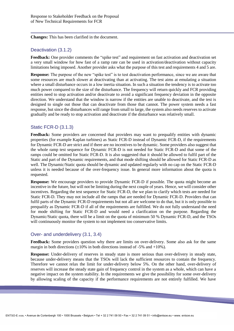**Changes:** This has been clarified in the document.

## Deactivation (3.1.2)

**Feedback:** One provider comments the "spike test" and requirement on fast activation and deactivation set a very small window for how fast of a ramp rate can be used in activation/deactivation without capacity limitations being imposed. Another provider asks what the purpose of this test and requirements 4 and 5 are.

**Response:** The purpose of the new "spike test" is to test deactivation performance, since we are aware that some resources are much slower at deactivating than at activating. The test aims at emulating a situation where a small disturbance occurs in a low inertia situation. In such a situation the tendency is to activate too much power compared to the size of the disturbance. The frequency will return quickly and FCR providing entities need to stop activation and/or deactivate to avoid a significant frequency deviation in the opposite direction. We understand that the window is narrow if the entities are unable to deactivate, and the test is designed to single out those that can deactivate from those that cannot. The power system needs a fast response, but since the disturbances will range from small to large, the system also needs reserves to activate gradually and be ready to stop activation and deactivate if the disturbance was relatively small.

## Static FCR-D (3.1.3)

**Feedback:** Some providers are concerned that providers may want to prequalify entities with dynamic properties (for example Kaplan turbines) as Static FCR-D instead of Dynamic FCR-D, if the requirements for Dynamic FCR-D are strict and if there are no incentives to be dynamic. Some providers also suggest that the whole ramp test sequence for Dynamic FCR-D is not needed for Static FCR-D and that some of the ramps could be omitted for Static FCR-D. It is also suggested that it should be allowed to fulfil part of the Static and part of the Dynamic requirements, and that mode shifting should be allowed for Static FCR-D as well. The Dynamic/Static quota should be dynamic and updated regularly with no cap on the Static FCR-D unless it is needed because of the over-frequency issue. In general more information about the quota is requested.

**Response:** We encourage providers to provide Dynamic FCR-D if possible. The quota might become an incentive in the future, but will not be limiting during the next couple of years. Hence, we will consider other incentives. Regarding the test sequence for Static FCR-D, the we plan to clarify which tests are needed for Static FCR-D. They may not include all the ramps that are needed for Dynamic FCR-D. Providers that can fulfil parts of the Dynamic FCR-D requirements but not all are welcome to do that, but it is only possible to prequalify as Dynamic FCR-D if all of the requirements are fulfilled. We do not fully understand the need for mode shifting for Static FCR-D and would need a clarification on the purpose. Regarding the Dynamic/Static quota, there will be a limit on the quota of minimum 50 % Dynamic FCR-D, and the TSOs will continuously monitor the system to not implement too conservative limits.

#### Over- and underdelivery (3.1, 3.4)

**Feedback:** Some providers question why there are limits on over-delivery. Some also ask for the same margin in both directions  $(\pm 10\%$  in both directions instead of -5% and +10%).

**Response:** Under-delivery of reserves in steady state is more serious than over-delivery in steady state, because under-delivery means that the TSOs will lack the sufficient resources to contain the frequency. Therefore we cannot relax the limit for under-delivery below 5%. On the other hand, over-delivery of reserves will increase the steady state gain of frequency control in the system as a whole, which can have a negative impact on the system stability. In the requirements we give the possibility for some over-delivery by allowing scaling of the capacity if the performance requirements are not entirely fulfilled. We have

**START OF**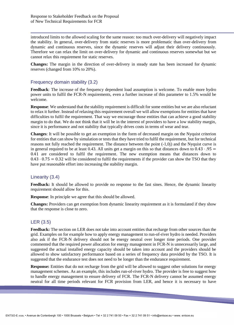introduced limits to the allowed scaling for the same reason: too much over-delivery will negatively impact the stability. In general, over-delivery from static reserves is more problematic than over-delivery from dynamic and continuous reserves, since the dynamic reserves will adjust their delivery continuously. Therefore we can relax the limit on over-delivery for dynamic and continuous reserves somewhat but we cannot relax this requirement for static reserves.

**Changes:** The margin in the direction of over-delivery in steady state has been increased for dynamic reserves (changed from 10% to 20%).

#### Frequency domain stability (3.2)

**Feedback**: The increase of the frequency dependent load assumption is welcome. To enable more hydro power units to fulfil the FCR-N requirements, even a further increase of this parameter to 1.5% would be welcome.

**Response**: We understand that the stability requirement is difficult for some entities but we are also reluctant to relax it further. Instead of relaxing this requirement overall we will allow exemptions for entities that have difficulties to fulfil the requirement. That way we encourage those entities that can achieve a good stability margin to do that. We do not think that it will be in the interest of providers to have a low stability margin, since it is performance and not stability that typically drives costs in terms of wear and tear.

**Changes**: It will be possible to get an exemption in the form of decreased margin on the Nyquist criterion for entities that can show by simulation or tests that they have tried to fulfil the requirement, but for technical reasons not fully reached the requirement. The distance between the point (-1,0j) and the Nyquist curve is in general required to be at least 0.43. All units get a margin on this so that distances down to  $0.43 \cdot .95 =$ 0.41 are considered to fulfil the requirement. The new exemption means that distances down to  $0.43 \cdot 0.75 = 0.32$  will be considered to fulfil the requirements if the provider can show the TSO that they have put reasonable effort into increasing the stability margin.

## Linearity (3.4)

**Feedback:** It should be allowed to provide no response to the fast sines. Hence, the dynamic linearity requirement should allow for this.

**Response**: In principle we agree that this should be allowed.

**Changes:** Providers can get exemption from dynamic linearity requirement as it is formulated if they show that the response is close to zero.

#### LER (3.5)

**Feedback:** The section on LER does not take into account entities that recharge from other sources than the grid. Examples on for example how to apply energy management to run-of-river hydro is needed. Providers also ask if the FCR-N delivery should not be energy neutral over longer time periods. One provider commented that the required power allocation for energy management in FCR-N is unnecessarily large, and suggested the actual installed energy capacity should be taken into account and the providers should be allowed to show satisfactory performance based on a series of frequency data provided by the TSO. It is suggested that the endurance test does not need to be longer than the endurance requirement.

**Response:** Entities that do not recharge from the grid will be allowed to suggest other solutions for energy management schemes. As an example, this includes run-of-river hydro. The provider is free to suggest how to handle energy management to ensure delivery of FCR. The FCR-N delivery cannot be assumed energy neutral for all time periods relevant for FCR provision from LER, and hence it is necessary to have

**Contract**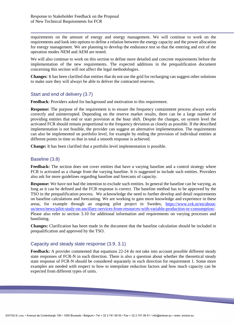requirements on the amount of energy and energy management. We will continue to work on the requirements and look into options to define a relation between the energy capacity and the power allocation for energy management. We are planning to develop the endurance test so that the entering and exit of the operation modes NEM and AEM are tested.

We will also continue to work on this section to define more detailed and concrete requirements before the implementation of the new requirements. The expected additions in the prequalification document concerning this section will not affect the legal methodologies.

**Changes**: It has been clarified that entities that do not use the grid for recharging can suggest other solutions to make sure they will always be able to deliver the contracted reserves.

#### Start and end of delivery (3.7)

**Feedback:** Providers asked for background and motivation to this requirement.

**Response:** The purpose of the requirement is to ensure the frequency containment process always works correctly and uninterrupted. Depending on the reserve market results, there can be a large number of providing entities that end or start provision at the hour shift. Despite the changes, on system level the activated FCR should remain proportional to the frequency deviation as closely as possible. If the described implementation is not feasible, the provider can suggest an alternative implementation. The requirements can also be implemented on portfolio level, for example by ending the provision of individual entities at different points in time so that in total a smooth response is achieved.

**Change:** It has been clarified that a portfolio level implementation is possible.

#### Baseline (3.8)

Feedback: The section does not cover entities that have a varying baseline and a control strategy where FCR is activated as a change from the varying baseline. It is suggested to include such entities. Providers also ask for more guidelines regarding baseline and forecasts of capacity.

**Response:** We have not had the intention to exclude such entities. In general the baseline can be varying, as long as it can be defined and the FCR response is correct. The baseline method has to be approved by the TSO in the prequalification process. We acknowledge the need to further develop and detail requirements on baseline calculations and forecasting. We are working to gain more knowledge and experience in these areas, for example through an ongoing pilot project in Sweden, [https://www.svk.se/en/about](https://www.svk.se/en/about-us/news/news/pilot-study-on-ancillary-services-from-resources-with-variable-production-or-consumption/)[us/news/news/pilot-study-on-ancillary-services-from-resources-with-variable-production-or-consumption/.](https://www.svk.se/en/about-us/news/news/pilot-study-on-ancillary-services-from-resources-with-variable-production-or-consumption/) Please also refer to section 3.10 for additional information and requirements on varying processes and baselining.

**Changes:** Clarification has been made in the document that the baseline calculation should be included in prequalification and approved by the TSO.

#### Capacity and steady state response (3.9, 3.1)

**Feedback:** A provider commented that equations 22-24 do not take into account possible different steady state responses of FCR-N in each direction. There is also a question about whether the theoretical steady state response of FCR-N should be considered separately in each direction for requirement 1. Some more examples are needed with respect to how to interpolate reduction factors and how much capacity can be expected from different types of units.

**Contract**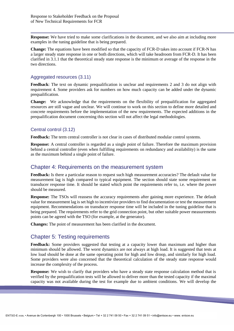**Response:** We have tried to make some clarifications in the document, and we also aim at including more examples in the tuning guideline that is being prepared.

**Change:** The equations have been modified so that the capacity of FCR-D takes into account if FCR-N has a larger steady state response in one or both directions, which will take headroom from FCR-D. It has been clarified in 3.1.1 that the theoretical steady state response is the minimum or average of the response in the two directions.

#### Aggregated resources (3.11)

**Feedback**: The text on dynamic prequalification is unclear and requirements 2 and 3 do not align with requirement 4. Some providers ask for numbers on how much capacity can be added under the dynamic prequalification.

**Change:** We acknowledge that the requirements on the flexibility of prequalification for aggregated resources are still vague and unclear. We will continue to work on this section to define more detailed and concrete requirements before the implementation of the new requirements. The expected additions in the prequalification document concerning this section will not affect the legal methodologies.

## Central control (3.12)

**Feedback:** The term central controller is not clear in cases of distributed modular control systems.

**Response:** A central controller is regarded as a single point of failure. Therefore the maximum provision behind a central controller (even when fulfilling requirements on redundancy and availability) is the same as the maximum behind a single point of failure.

## Chapter 4: Requirements on the measurement system

**Feedback:** Is there a particular reason to request such high measurement accuracies? The default value for measurement lag is high compared to typical equipment. The section should state some requirement on transducer response time. It should be stated which point the requirements refer to, i.e. where the power should be measured.

**Response:** The TSOs will reassess the accuracy requirements after gaining more experience. The default value for measurement lag is set high to incentivize providers to find documentation or test the measurement equipment. Recommendations on transducer response time will be included in the tuning guideline that is being prepared. The requirements refer to the grid connection point, but other suitable power measurements points can be agreed with the TSO (for example, at the generator).

**Changes:** The point of measurement has been clarified in the document.

# Chapter 5: Testing requirements

**Feedback:** Some providers suggested that testing at a capacity lower than maximum and higher than minimum should be allowed. The worst dynamics are not always at high load. It is suggested that tests at low load should be done at the same operating point for high and low droop, and similarly for high load. Some providers were also concerned that the theoretical calculation of the steady state response would increase the complexity of the process.

**Response:** We wish to clarify that providers who have a steady state response calculation method that is verified by the prequalification tests will be allowed to deliver more than the tested capacity if the maximal capacity was not available during the test for example due to ambient conditions. We will develop the

**Contract**